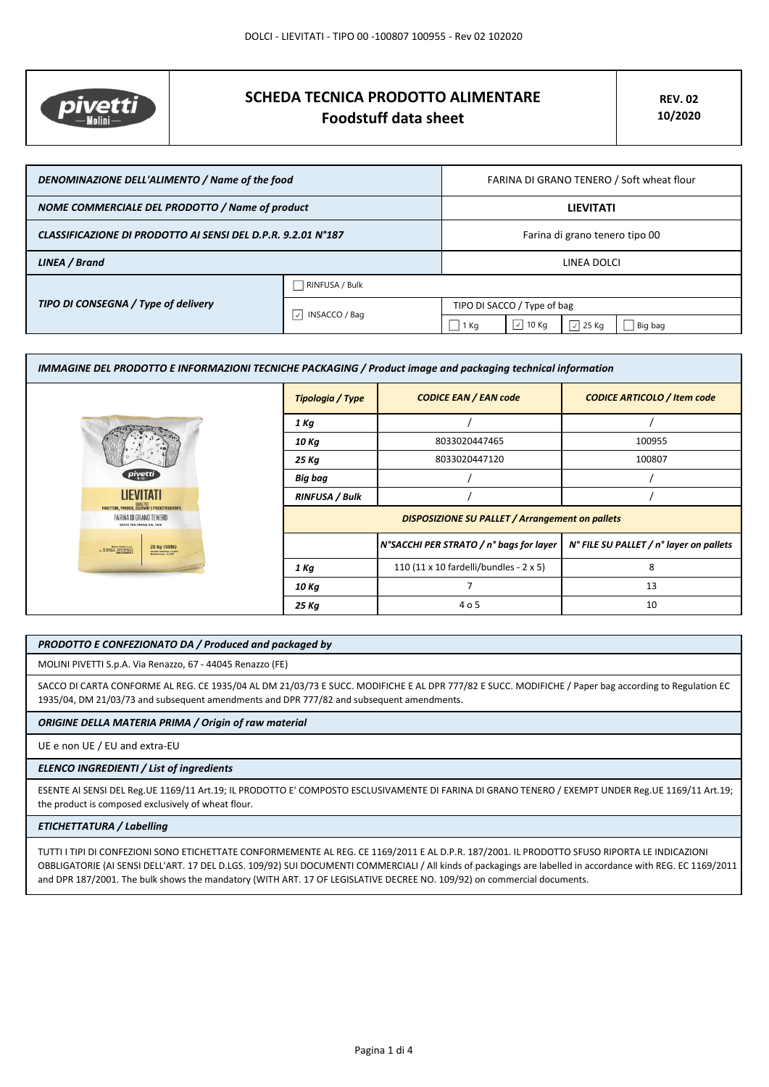

# **SCHEDA TECNICA PRODOTTO ALIMENTARE Foodstuff data sheet**

| DENOMINAZIONE DELL'ALIMENTO / Name of the food               |                                     | FARINA DI GRANO TENERO / Soft wheat flour |                     |                  |         |
|--------------------------------------------------------------|-------------------------------------|-------------------------------------------|---------------------|------------------|---------|
| NOME COMMERCIALE DEL PRODOTTO / Name of product              |                                     | <b>LIEVITATI</b>                          |                     |                  |         |
| CLASSIFICAZIONE DI PRODOTTO AI SENSI DEL D.P.R. 9.2.01 N°187 |                                     | Farina di grano tenero tipo 00            |                     |                  |         |
| LINEA / Brand                                                |                                     | LINEA DOLCI                               |                     |                  |         |
| TIPO DI CONSEGNA / Type of delivery                          | RINFUSA / Bulk                      |                                           |                     |                  |         |
|                                                              | INSACCO / Bag<br>$\vert \vee \vert$ | TIPO DI SACCO / Type of bag               |                     |                  |         |
|                                                              |                                     | 1 Kg                                      | $\vert \,$<br>10 Kg | $\sqrt{2}$ 25 Kg | Big bag |

| IMMAGINE DEL PRODOTTO E INFORMAZIONI TECNICHE PACKAGING / Product image and packaging technical information |                                                        |                                         |                                         |
|-------------------------------------------------------------------------------------------------------------|--------------------------------------------------------|-----------------------------------------|-----------------------------------------|
|                                                                                                             | <b>Tipologia / Type</b>                                | <b>CODICE EAN / EAN code</b>            | <b>CODICE ARTICOLO / Item code</b>      |
|                                                                                                             | 1 Kg                                                   |                                         |                                         |
|                                                                                                             | 10 Kg                                                  | 8033020447465                           | 100955                                  |
|                                                                                                             | 25 Kg                                                  | 8033020447120                           | 100807                                  |
| pivetti                                                                                                     | Big bag                                                |                                         |                                         |
| LIEVITATI                                                                                                   | <b>RINFUSA / Bulk</b>                                  |                                         |                                         |
| PANETTONI, PANDORI, COLOMBE E PRODOTTI LIEVITATI.<br>FARINA DI GRANO TENERO<br>SAPER FAR FARINA DAL 1875    | <b>DISPOSIZIONE SU PALLET / Arrangement on pallets</b> |                                         |                                         |
| 25 kg (55lb)<br>Mobil Predi S.p.A.<br><b>HARRY HARRING IS.SPN</b><br>Relation may 10,57%                    |                                                        | N°SACCHI PER STRATO / n° bags for layer | N° FILE SU PALLET / n° layer on pallets |
|                                                                                                             | 1 Kg                                                   | 110 (11 x 10 fardelli/bundles - 2 x 5)  | 8                                       |
|                                                                                                             | 10 Kg                                                  |                                         | 13                                      |
|                                                                                                             | 25 Kg                                                  | 4 o 5                                   | 10                                      |

## *PRODOTTO E CONFEZIONATO DA / Produced and packaged by*

MOLINI PIVETTI S.p.A. Via Renazzo, 67 - 44045 Renazzo (FE)

SACCO DI CARTA CONFORME AL REG. CE 1935/04 AL DM 21/03/73 E SUCC. MODIFICHE E AL DPR 777/82 E SUCC. MODIFICHE / Paper bag according to Regulation EC 1935/04, DM 21/03/73 and subsequent amendments and DPR 777/82 and subsequent amendments.

# *ORIGINE DELLA MATERIA PRIMA / Origin of raw material*

UE e non UE / EU and extra-EU

#### *ELENCO INGREDIENTI / List of ingredients*

ESENTE AI SENSI DEL Reg.UE 1169/11 Art.19; IL PRODOTTO E' COMPOSTO ESCLUSIVAMENTE DI FARINA DI GRANO TENERO / EXEMPT UNDER Reg.UE 1169/11 Art.19; the product is composed exclusively of wheat flour.

# *ETICHETTATURA / Labelling*

TUTTI I TIPI DI CONFEZIONI SONO ETICHETTATE CONFORMEMENTE AL REG. CE 1169/2011 E AL D.P.R. 187/2001. IL PRODOTTO SFUSO RIPORTA LE INDICAZIONI OBBLIGATORIE (AI SENSI DELL'ART. 17 DEL D.LGS. 109/92) SUI DOCUMENTI COMMERCIALI / All kinds of packagings are labelled in accordance with REG. EC 1169/2011 and DPR 187/2001. The bulk shows the mandatory (WITH ART. 17 OF LEGISLATIVE DECREE NO. 109/92) on commercial documents.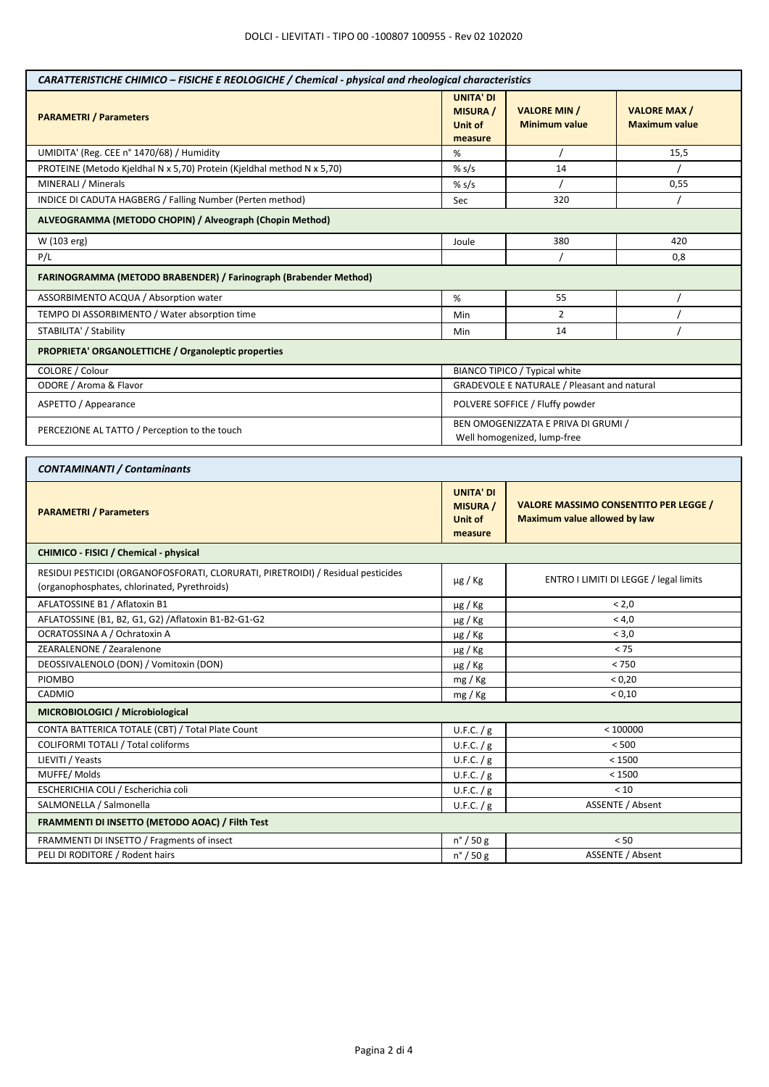| CARATTERISTICHE CHIMICO - FISICHE E REOLOGICHE / Chemical - physical and rheological characteristics                             |                                                           |                                                                                     |                                            |  |
|----------------------------------------------------------------------------------------------------------------------------------|-----------------------------------------------------------|-------------------------------------------------------------------------------------|--------------------------------------------|--|
| <b>PARAMETRI / Parameters</b>                                                                                                    | <b>UNITA' DI</b><br><b>MISURA /</b><br>Unit of<br>measure | <b>VALORE MIN /</b><br><b>Minimum value</b>                                         | <b>VALORE MAX/</b><br><b>Maximum value</b> |  |
| UMIDITA' (Reg. CEE n° 1470/68) / Humidity                                                                                        | %                                                         |                                                                                     | 15,5                                       |  |
| PROTEINE (Metodo Kjeldhal N x 5,70) Protein (Kjeldhal method N x 5,70)                                                           | % $s/s$                                                   | 14                                                                                  |                                            |  |
| MINERALI / Minerals                                                                                                              | % $s/s$                                                   |                                                                                     | 0,55                                       |  |
| INDICE DI CADUTA HAGBERG / Falling Number (Perten method)                                                                        | Sec                                                       | 320                                                                                 |                                            |  |
| ALVEOGRAMMA (METODO CHOPIN) / Alveograph (Chopin Method)                                                                         |                                                           |                                                                                     |                                            |  |
| W (103 erg)                                                                                                                      | Joule                                                     | 380<br>420                                                                          |                                            |  |
| P/L                                                                                                                              |                                                           |                                                                                     | 0,8                                        |  |
| FARINOGRAMMA (METODO BRABENDER) / Farinograph (Brabender Method)                                                                 |                                                           |                                                                                     |                                            |  |
| ASSORBIMENTO ACQUA / Absorption water                                                                                            | %                                                         | 55                                                                                  |                                            |  |
| TEMPO DI ASSORBIMENTO / Water absorption time                                                                                    | Min                                                       | $\overline{2}$                                                                      |                                            |  |
| STABILITA' / Stability                                                                                                           | Min                                                       | 14                                                                                  |                                            |  |
| PROPRIETA' ORGANOLETTICHE / Organoleptic properties                                                                              |                                                           |                                                                                     |                                            |  |
| COLORE / Colour                                                                                                                  |                                                           | BIANCO TIPICO / Typical white                                                       |                                            |  |
| ODORE / Aroma & Flavor                                                                                                           |                                                           | <b>GRADEVOLE E NATURALE / Pleasant and natural</b>                                  |                                            |  |
| ASPETTO / Appearance                                                                                                             |                                                           | POLVERE SOFFICE / Fluffy powder                                                     |                                            |  |
| PERCEZIONE AL TATTO / Perception to the touch                                                                                    |                                                           | BEN OMOGENIZZATA E PRIVA DI GRUMI /<br>Well homogenized, lump-free                  |                                            |  |
| <b>CONTAMINANTI / Contaminants</b>                                                                                               |                                                           |                                                                                     |                                            |  |
|                                                                                                                                  |                                                           |                                                                                     |                                            |  |
| <b>PARAMETRI / Parameters</b>                                                                                                    | <b>UNITA' DI</b><br><b>MISURA</b> /<br>Unit of<br>measure | <b>VALORE MASSIMO CONSENTITO PER LEGGE /</b><br><b>Maximum value allowed by law</b> |                                            |  |
| CHIMICO - FISICI / Chemical - physical                                                                                           |                                                           |                                                                                     |                                            |  |
| RESIDUI PESTICIDI (ORGANOFOSFORATI, CLORURATI, PIRETROIDI) / Residual pesticides<br>(organophosphates, chlorinated, Pyrethroids) | $\mu$ g / Kg                                              | ENTRO I LIMITI DI LEGGE / legal limits                                              |                                            |  |
| AFLATOSSINE B1 / Aflatoxin B1                                                                                                    | µg / Kg                                                   | < 2,0                                                                               |                                            |  |
| AFLATOSSINE (B1, B2, G1, G2) / Aflatoxin B1-B2-G1-G2                                                                             | $\mu$ g / Kg                                              | < 4,0                                                                               |                                            |  |
| OCRATOSSINA A / Ochratoxin A                                                                                                     | µg / Kg                                                   | < 3,0                                                                               |                                            |  |
| ZEARALENONE / Zearalenone                                                                                                        | µg / Kg                                                   | < 75                                                                                |                                            |  |
| DEOSSIVALENOLO (DON) / Vomitoxin (DON)                                                                                           | $\mu$ g / Kg                                              | < 750                                                                               |                                            |  |
| <b>PIOMBO</b>                                                                                                                    | mg / Kg                                                   | < 0,20                                                                              |                                            |  |
| CADMIO                                                                                                                           | mg / Kg                                                   | < 0,10                                                                              |                                            |  |
| MICROBIOLOGICI / Microbiological                                                                                                 |                                                           |                                                                                     |                                            |  |
| CONTA BATTERICA TOTALE (CBT) / Total Plate Count                                                                                 | U.F.C. / g                                                | < 100000                                                                            |                                            |  |
| COLIFORMI TOTALI / Total coliforms                                                                                               | U.F.C. $/g$                                               | < 500                                                                               |                                            |  |
| LIEVITI / Yeasts                                                                                                                 | U.F.C. $/g$                                               | < 1500                                                                              |                                            |  |
| MUFFE/Molds                                                                                                                      | U.F.C. $/g$                                               | < 1500                                                                              |                                            |  |
| ESCHERICHIA COLI / Escherichia coli                                                                                              | U.F.C. $/g$                                               | < 10                                                                                |                                            |  |
| SALMONELLA / Salmonella                                                                                                          | U.F.C. / g                                                | ASSENTE / Absent                                                                    |                                            |  |
| FRAMMENTI DI INSETTO (METODO AOAC) / Filth Test                                                                                  |                                                           |                                                                                     |                                            |  |
| FRAMMENTI DI INSETTO / Fragments of insect                                                                                       | $n^{\circ}$ / 50 g                                        | < 50                                                                                |                                            |  |
| PELI DI RODITORE / Rodent hairs                                                                                                  | $n^{\circ}$ / 50 g                                        | ASSENTE / Absent                                                                    |                                            |  |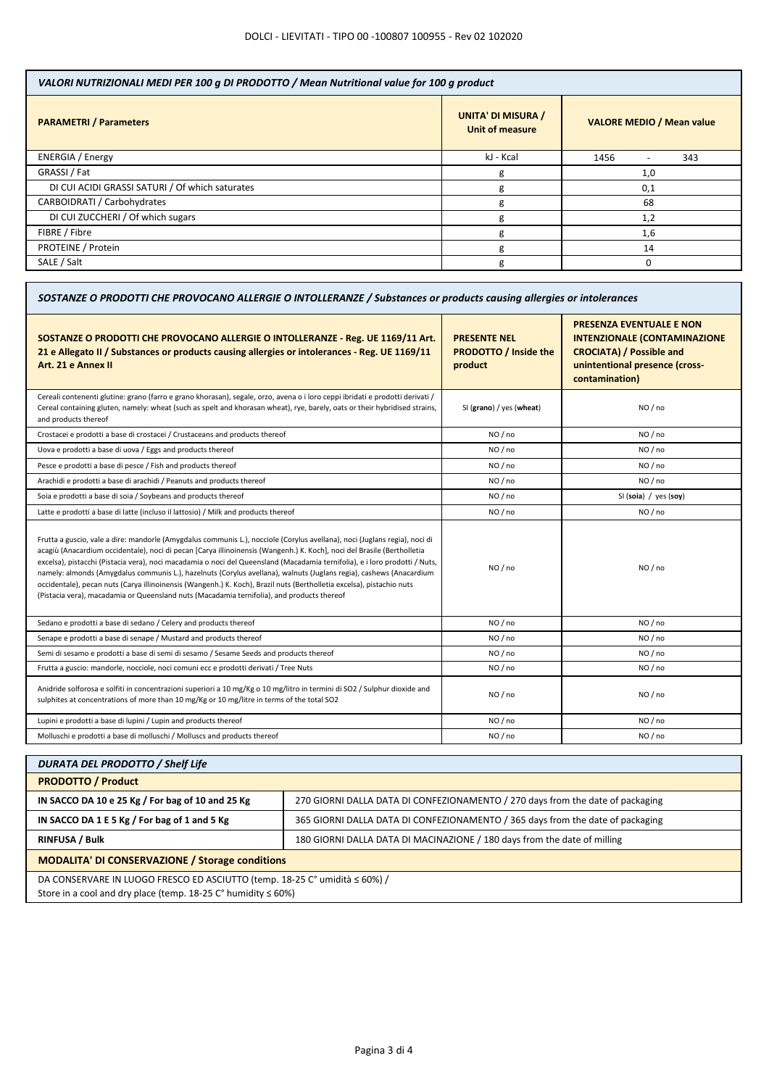| VALORI NUTRIZIONALI MEDI PER 100 g DI PRODOTTO / Mean Nutritional value for 100 g product |                                  |  |  |
|-------------------------------------------------------------------------------------------|----------------------------------|--|--|
| <b>UNITA' DI MISURA /</b><br>Unit of measure                                              | <b>VALORE MEDIO / Mean value</b> |  |  |
| kJ - Kcal                                                                                 | 1456<br>343                      |  |  |
| g                                                                                         | 1,0                              |  |  |
| g                                                                                         | 0,1                              |  |  |
| g                                                                                         | 68                               |  |  |
| g                                                                                         | 1,2                              |  |  |
| g                                                                                         | 1,6                              |  |  |
| g                                                                                         | 14                               |  |  |
| g                                                                                         |                                  |  |  |
|                                                                                           |                                  |  |  |

| SOSTANZE O PRODOTTI CHE PROVOCANO ALLERGIE O INTOLLERANZE / Substances or products causing allergies or intolerances                                                                                                                                                                                                                                                                                                                                                                                                                                                                                                                                                                                                               |                                                                |                                                                                                                                                               |  |
|------------------------------------------------------------------------------------------------------------------------------------------------------------------------------------------------------------------------------------------------------------------------------------------------------------------------------------------------------------------------------------------------------------------------------------------------------------------------------------------------------------------------------------------------------------------------------------------------------------------------------------------------------------------------------------------------------------------------------------|----------------------------------------------------------------|---------------------------------------------------------------------------------------------------------------------------------------------------------------|--|
| SOSTANZE O PRODOTTI CHE PROVOCANO ALLERGIE O INTOLLERANZE - Reg. UE 1169/11 Art.<br>21 e Allegato II / Substances or products causing allergies or intolerances - Reg. UE 1169/11<br>Art. 21 e Annex II                                                                                                                                                                                                                                                                                                                                                                                                                                                                                                                            | <b>PRESENTE NEL</b><br><b>PRODOTTO / Inside the</b><br>product | <b>PRESENZA EVENTUALE E NON</b><br><b>INTENZIONALE (CONTAMINAZIONE</b><br><b>CROCIATA) / Possible and</b><br>unintentional presence (cross-<br>contamination) |  |
| Cereali contenenti glutine: grano (farro e grano khorasan), segale, orzo, avena o i loro ceppi ibridati e prodotti derivati /<br>Cereal containing gluten, namely: wheat (such as spelt and khorasan wheat), rye, barely, oats or their hybridised strains,<br>and products thereof                                                                                                                                                                                                                                                                                                                                                                                                                                                | SI (grano) / yes (wheat)                                       | NO / no                                                                                                                                                       |  |
| Crostacei e prodotti a base di crostacei / Crustaceans and products thereof                                                                                                                                                                                                                                                                                                                                                                                                                                                                                                                                                                                                                                                        | NO / no                                                        | NO / no                                                                                                                                                       |  |
| Uova e prodotti a base di uova / Eggs and products thereof                                                                                                                                                                                                                                                                                                                                                                                                                                                                                                                                                                                                                                                                         | NO/no                                                          | NO/no                                                                                                                                                         |  |
| Pesce e prodotti a base di pesce / Fish and products thereof                                                                                                                                                                                                                                                                                                                                                                                                                                                                                                                                                                                                                                                                       | NO / no                                                        | NO / no                                                                                                                                                       |  |
| Arachidi e prodotti a base di arachidi / Peanuts and products thereof                                                                                                                                                                                                                                                                                                                                                                                                                                                                                                                                                                                                                                                              | NO / no                                                        | NO / no                                                                                                                                                       |  |
| Soia e prodotti a base di soia / Soybeans and products thereof                                                                                                                                                                                                                                                                                                                                                                                                                                                                                                                                                                                                                                                                     | NO / no                                                        | SI (soia) / yes (soy)                                                                                                                                         |  |
| Latte e prodotti a base di latte (incluso il lattosio) / Milk and products thereof                                                                                                                                                                                                                                                                                                                                                                                                                                                                                                                                                                                                                                                 | NO / no                                                        | NO / no                                                                                                                                                       |  |
| Frutta a guscio, vale a dire: mandorle (Amygdalus communis L.), nocciole (Corylus avellana), noci (Juglans regia), noci di<br>acagiù (Anacardium occidentale), noci di pecan [Carya illinoinensis (Wangenh.) K. Koch], noci del Brasile (Bertholletia<br>excelsa), pistacchi (Pistacia vera), noci macadamia o noci del Queensland (Macadamia ternifolia), e i loro prodotti / Nuts,<br>namely: almonds (Amygdalus communis L.), hazelnuts (Corylus avellana), walnuts (Juglans regia), cashews (Anacardium<br>occidentale), pecan nuts (Carya illinoinensis (Wangenh.) K. Koch), Brazil nuts (Bertholletia excelsa), pistachio nuts<br>(Pistacia vera), macadamia or Queensland nuts (Macadamia ternifolia), and products thereof | NO / no                                                        | NO / no                                                                                                                                                       |  |
| Sedano e prodotti a base di sedano / Celery and products thereof                                                                                                                                                                                                                                                                                                                                                                                                                                                                                                                                                                                                                                                                   | NO / no                                                        | NO / no                                                                                                                                                       |  |
| Senape e prodotti a base di senape / Mustard and products thereof                                                                                                                                                                                                                                                                                                                                                                                                                                                                                                                                                                                                                                                                  | NO/no                                                          | NO/no                                                                                                                                                         |  |
| Semi di sesamo e prodotti a base di semi di sesamo / Sesame Seeds and products thereof                                                                                                                                                                                                                                                                                                                                                                                                                                                                                                                                                                                                                                             | NO / no                                                        | NO / no                                                                                                                                                       |  |
| Frutta a guscio: mandorle, nocciole, noci comuni ecc e prodotti derivati / Tree Nuts                                                                                                                                                                                                                                                                                                                                                                                                                                                                                                                                                                                                                                               | NO / no                                                        | NO / no                                                                                                                                                       |  |
| Anidride solforosa e solfiti in concentrazioni superiori a 10 mg/Kg o 10 mg/litro in termini di SO2 / Sulphur dioxide and<br>sulphites at concentrations of more than 10 mg/Kg or 10 mg/litre in terms of the total SO2                                                                                                                                                                                                                                                                                                                                                                                                                                                                                                            | NO / no                                                        | NO / no                                                                                                                                                       |  |
| Lupini e prodotti a base di lupini / Lupin and products thereof                                                                                                                                                                                                                                                                                                                                                                                                                                                                                                                                                                                                                                                                    | NO / no                                                        | NO / no                                                                                                                                                       |  |
| Molluschi e prodotti a base di molluschi / Molluscs and products thereof                                                                                                                                                                                                                                                                                                                                                                                                                                                                                                                                                                                                                                                           | NO/no                                                          | NO/no                                                                                                                                                         |  |

| <b>DURATA DEL PRODOTTO / Shelf Life</b>                                    |                                                                                |  |  |
|----------------------------------------------------------------------------|--------------------------------------------------------------------------------|--|--|
| <b>PRODOTTO / Product</b>                                                  |                                                                                |  |  |
| IN SACCO DA 10 e 25 Kg / For bag of 10 and 25 Kg                           | 270 GIORNI DALLA DATA DI CONFEZIONAMENTO / 270 days from the date of packaging |  |  |
| IN SACCO DA 1 E 5 Kg / For bag of 1 and 5 Kg                               | 365 GIORNI DALLA DATA DI CONFEZIONAMENTO / 365 days from the date of packaging |  |  |
| <b>RINFUSA / Bulk</b>                                                      | 180 GIORNI DALLA DATA DI MACINAZIONE / 180 days from the date of milling       |  |  |
| <b>MODALITA' DI CONSERVAZIONE / Storage conditions</b>                     |                                                                                |  |  |
| DA CONSERVARE IN LUOGO FRESCO ED ASCIUTTO (temp. 18-25 C° umidità ≤ 60%) / |                                                                                |  |  |
| Store in a cool and dry place (temp $18-25$ C° humidity $\leq 60\%$ )      |                                                                                |  |  |

Store in a cool and dry place (temp. 18-25 C° humidity ≤ 60%)